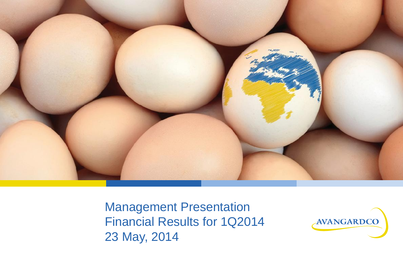

Management Presentation Financial Results for 1Q2014 23 May, 2014

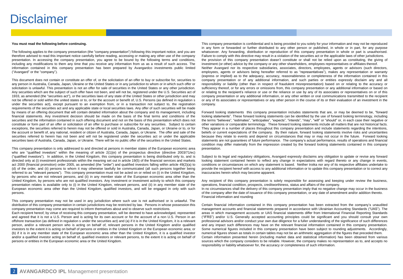### **Disclaimer**

#### **You must read the following before continuing.**

The following applies to the company presentation (the "company presentation") following this important notice, and you are therefore advised to read this important notice carefully before reading, accessing or making any other use of the company presentation. In accessing the company presentation, you agree to be bound by the following terms and conditions, including any modifications to them any time that you receive any information from us as a result of such access. The information contained in this company presentation has been prepared by Avangardco investments public limited ("Avangard" or the "company").

This document does not contain or constitute an offer of, or the solicitation of an offer to buy or subscribe for, securities to any person in Australia, Canada, Japan, Ukraine or the United States or in any jurisdiction to whom or in which such offer or solicitation is unlawful. This presentation is not an offer for sale of securities in the United States or any other jurisdiction. Any securities which are the subject of such offer have not been, and will not be, registered under the U.S. Securities act of 1933, as amended (the "securities act"), or the securities laws of any state of the United States or other jurisdiction and may not be offered or sold within the united states or to, or for the account or benefit of, U.S. Persons (as defined in regulation s under the securities act), except pursuant to an exemption from, or in a transaction not subject to, the registration requirements of the securities act and any applicable state or local securities laws. Any offer of such securities will be made by means of an offering document that will contain detailed information about the company and its management, including financial statements. Any investment decision should be made on the basis of the final terms and conditions of the securities and the information contained in such offering document and not on the basis of this presentation which does not constitute or form part of an offer or solicitation of an offer to purchase or subscribe for any securities. Subject to certain exceptions, the securities referred to herein may not be offered or sold in Australia, Canada, Japan, or Ukraine or to, or for the account or benefit of, any national, resident or citizen of Australia, Canada, Japan, or Ukraine. The offer and sale of the securities referred to herein has not been and will not be registered under the securities act or under the applicable securities laws of Australia, Canada, Japan, or Ukraine. There will be no public offer of the securities in the United States.

This company presentation is only addressed to and directed at persons in member states of the European economic area who are "qualified investors" within the meaning of article  $2(1)(e)$  of the prospectus directive (directive 2003/71/ec) ("qualified investors"). In addition, in the United Kingdom, this company presentation is being distributed only to, and is directed only at (i) investment professionals within the meaning set out in article 19(5) of the financial services and markets act 2000 (financial promotion) order 2005, as amended (the "order") and qualified investors falling within article 49(2)(a) to (d) of the order, and (ii) persons to whom it may otherwise lawfully be communicated (all such persons together being referred to as "relevant persons"). This company presentation must not be acted on or relied on (i) in the United Kingdom, by persons who are not relevant persons, and (ii) in any member state of the European economic area other than the United Kingdom, by persons who are not qualified investors. Any investment or investment activity to which this company presentation relates is available only to (i) in the United Kingdom, relevant persons, and (ii) in any member state of the European economic area other than the United Kingdom, qualified investors, and will be engaged in only with such persons.

This company presentation may not be used in any jurisdiction where such use is not authorised or is unlawful. The distribution of this company presentation in certain jurisdictions may be restricted by law. Persons in whose possession this company presentation may come are required to inform themselves about and to observe such restrictions.

Each recipient hereof, by virtue of receiving this company presentation, will be deemed to have acknowledged, represented and agreed that it is not a U.S. Person and is acting for its own account or for the account of a non U.S. Person in an offshore transaction (as defined in regulation s under the securities act) and (a) if it is in the United Kingdom, it is a relevant person, and/or a relevant person who is acting on behalf of, relevant persons in the United Kingdom and/or qualified investors to the extent it is acting on behalf of persons or entities in the United Kingdom or the European economic area; or (b) if it is in any member state of the European economic area other than the United Kingdom, it is a qualified investor and/or a qualified investor acting on behalf of, qualified investors or relevant persons, to the extent it is acting on behalf of persons or entities in the European economic area or the United Kingdom.

This company presentation is confidential and is being provided to you solely for your information and may not be reproduced in any form or forwarded or further distributed to any other person or published, in whole or in part, for any purpose whatsoever. Any forwarding, distribution or reproduction of this company presentation in whole or part is unauthorised. Failure to comply with this directive may result in a violation of the securities act or the applicable laws of other jurisdictions. the provision of this company presentation doesn't constitute or shall not be relied upon as constituting, the giving of investment (or other) advice by the company or any other shareholders, employees representatives or affiliates thereof. Neither Avangard nor its respective subsidiaries, associates, directors, employees, agents or advisors (such directors, employees, agents or advisors being hereafter referred to as "representatives"), makes any representation or warranty (express or implied) as to the adequacy, accuracy, reasonableness or completeness of the information contained in this company presentation or of any additional information, and such parties or entities expressly disclaim any and all responsibility or liability (other than in respect of fraudulent misrepresentation) based on or relating to the accuracy or sufficiency thereof, or for any errors or omissions from, this company presentation or any additional information or based on or relating to the recipient's reliance or use or the reliance or use by any of its associates or representatives on or of this company presentation or any additional information, or any other written or oral communications transmitted to the recipient or any of its associates or representatives or any other person in the course of its or their evaluation of an investment in the company.

Forward looking statements this company presentation includes statements that are, or may be deemed to be, "forward looking statements". These forward looking statements can be identified by the use of forward looking terminology, including the terms "believes", "estimates", "anticipates", "expects", "intends", "may", "will" or "should" or, in each case their negative or other variations or comparable terminology. These forward looking statements include all matters that are not historical facts. They appear in a number of places throughout this company presentation and include statements regarding the intentions, beliefs or current expectations of the company. By their nature, forward looking statements involve risks and uncertainties because they relate to events and depend on circumstances that may or may not occur in the future. Forward looking statements are not guarantees of future performance. The company's actual performance, results of operations and financial condition may differ materially from the impression created by the forward looking statements contained in this company presentation.

Subject to its legal and regulatory obligations, Avangard expressly disclaims any obligation to update or revise any forward looking statement contained herein to reflect any change in expectations with regard thereto or any change in events, conditions or circumstances on which any statement is based. Neither troika nor any of its respective affiliates undertake to provide the recipient hereof with access to any additional information or to update this company presentation or to correct any inaccuracies herein which may become apparent.

Any recipient of this company presentation is solely responsible for assessing and keeping under review the business, operations, financial condition, prospects, creditworthiness, status and affairs of the company.

In no circumstances shall the delivery of this company presentation imply that no negative change may occur in the business of the company after the date of issuance of this company presentation, or any date of amendment and/or addition thereto. Financial information and rounding

Certain financial information contained in this company presentation has been extracted from the company's unaudited management accounts and financial statements prepared in accordance with Ukrainian Accounting Standards ("UAS"). The areas in which management accounts or UAS financial statements differ from International Financial Reporting Standards ("IFRS") and/or U.S. Generally accepted accounting principles could be significant and you should consult your own professional advisors and/or conduct your own due diligence for a fuller understanding of the significance of such differences and any impact such differences may have on the relevant financial information contained in this company presentation. Some numerical figures included in this company presentation have been subject to rounding adjustments. Accordingly, numerical figures shown as totals in certain tables may not be an arithmetic aggregation of the figures that preceded them. Certain information presented herein (including market data and statistical information) has been obtained from various sources which the company considers to be reliable. However, the company makes no representation as to, and accepts no responsibility or liability whatsoever for, the accuracy or completeness of such information.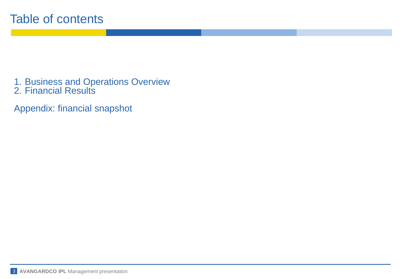1. Business and Operations Overview 2. Financial Results

Appendix: financial snapshot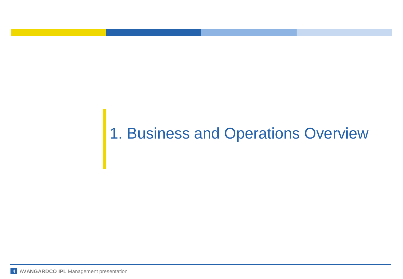# 1. Business and Operations Overview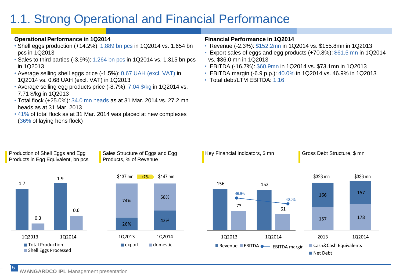## 1.1. Strong Operational and Financial Performance

#### **Operational Performance in 1Q2014**

- Shell eggs production (+14.2%): 1.889 bn pcs in 1Q2014 vs. 1.654 bn pcs in 1Q2013
- Sales to third parties (-3.9%): 1.264 bn pcs in 1Q2014 vs. 1.315 bn pcs in 1Q2013
- Average selling shell eggs price (-1.5%): 0.67 UAH (excl. VAT) in 1Q2014 vs. 0.68 UAH (excl. VAT) in 1Q2013
- Average selling egg products price (-8.7%): 7.04 \$/kg in 1Q2014 vs. 7.71 \$/kg in 1Q2013
- Total flock (+25.0%): 34.0 mn heads as at 31 Mar. 2014 vs. 27.2 mn heads as at 31 Mar. 2013
- 41% of total flock as at 31 Mar. 2014 was placed at new complexes (36% of laying hens flock)

#### **Financial Performance in 1Q2014**

- Revenue (-2.3%): \$152.2mn in 1Q2014 vs. \$155.8mn in 1Q2013
- Export sales of eggs and egg products (+70.8%): \$61.5 mn in 1Q2014 vs. \$36.0 mn in 1Q2013
- EBITDA (-16.7%): \$60.9mn in 1Q2014 vs. \$73.1mn in 1Q2013
- EBITDA margin (-6.9 p.p.): 40.0% in 1Q2014 vs. 46.9% in 1Q2013
- Total debt/LTM EBITDA: 1.16



#### Production of Shell Eggs and Egg Products in Egg Equivalent, bn pcs

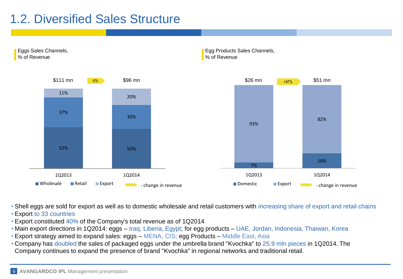### 1.2. Diversified Sales Structure



• Shell eggs are sold for export as well as to domestic wholesale and retail customers with increasing share of export and retail chains

- Export to 33 countries
- Export constituted 40% of the Company's total revenue as of 1Q2014
- Main export directions in 1Q2014: eggs Iraq, Liberia, Egypt; for egg products UAE, Jordan, Indonesia, Thaiwan, Korea
- Export strategy aimed to expand sales: eggs MENA, CIS; egg Products Middle East, Asia
- Company has doubled the sales of packaged eggs under the umbrella brand "Kvochka" to 25.9 mln pieces in 1Q2014. The Company continues to expand the presence of brand "Kvochka" in regional networks and traditional retail.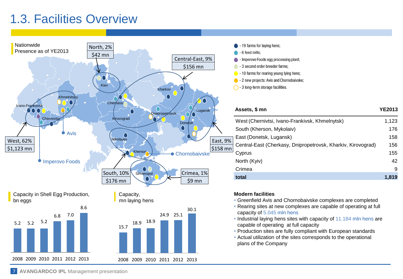## 1.3. Facilities Overview





| Assets, \$ mn                                                | <b>YE2013</b> |
|--------------------------------------------------------------|---------------|
| West (Chernivtsi, Ivano-Frankivsk, Khmelnytsk)               | 1,123         |
| South (Kherson, Mykolaiv)                                    | 176           |
| East (Donetsk, Lugansk)                                      | 158           |
| Central-East (Cherkasy, Dnipropetrovsk, Kharkiv, Kirovograd) | 156           |
| Cyprus                                                       | 155           |
| North (Kyiv)                                                 | 42            |
| Crimea                                                       | 9             |
| total                                                        | 1,819         |

#### **Modern facilities**

- Greenfield Avis and Chornobaivske complexes are completed
- Rearing sites at new complexes are capable of operating at full capacity of 5.045 mln hens
- Industrial laying hens sites with capacity of 11.184 mln hens are capable of operating at full capacity
- Production sites are fully compliant with European standards
- Actual utilization of the sites corresponds to the operational plans of the Company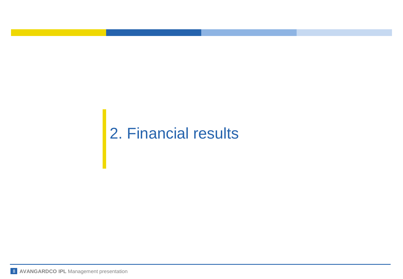## 2. Financial results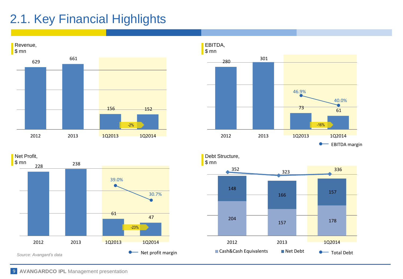## 2.1. Key Financial Highlights





228<sup>238</sup> 61 47 2012 2013 1Q2013 1Q2014 39.0% 30.7% Net Profit, \$ mn *Source: Avangard's data* -23% • Net profit margin

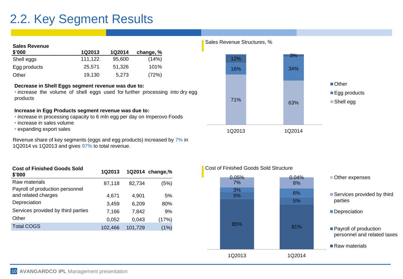### 2.2. Key Segment Results

#### **Sales Revenue**

| \$'000       | 1Q2013  | <b>1Q2014</b> | change, % |
|--------------|---------|---------------|-----------|
| Shell eggs   | 111,122 | 95,600        | (14%)     |
| Egg products | 25.571  | 51.326        | 101%      |
| Other        | 19.130  | 5,273         | (72%)     |

#### **Decrease in Shell Eggs segment revenue was due to:**

• increase the volume of shell eggs used for further processing into dry egg products

#### **Increase in Egg Products segment revenue was due to:**

- increase in processing capacity to 6 mln egg per day on Imperovo Foods
- increase in sales volume
- expanding export sales

Revenue share of key segments (eggs and egg products) increased by 7% in 1Q2014 vs 1Q2013 and gives 97% to total revenue.

| <b>Cost of Finished Goods Sold</b><br>\$'000 | 1Q2013  |         | 1Q2014 change,% |
|----------------------------------------------|---------|---------|-----------------|
| Raw materials                                | 87,118  | 82,734  | (5%)            |
| Payroll of production personnel              |         |         |                 |
| and related charges                          | 4,671   | 4.901   | 5%              |
| Depreciation                                 | 3,459   | 6.209   | 80%             |
| Services provided by third parties           | 7.166   | 7.842   | 9%              |
| Other                                        | 0,052   | 0.043   | (17%)           |
| <b>Total COGS</b>                            | 102,466 | 101,729 | (1%)            |

#### Sales Revenue Structures, %



#### **Cost of Finished Goods Sold** Cost of Finished Goods Sold Structure

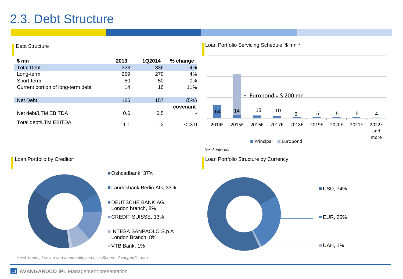### 2.3. Debt Structure

Debt Structure



Loan Portfolio Servicing Schedule, \$ mn *\** 

*\*excl. bonds, leasing and commodity credits / Source: Avangard's data*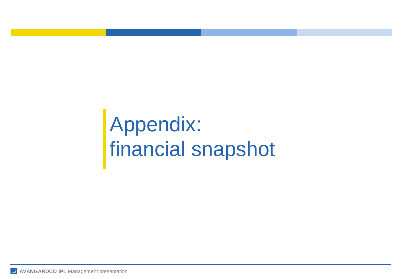Appendix: financial snapshot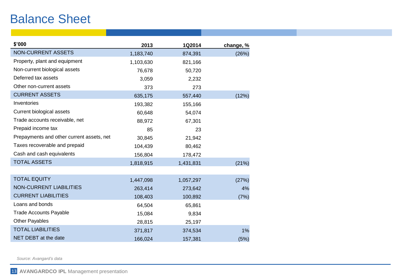### Balance Sheet

| \$'000                                    | 2013      | 1Q2014    | change, % |
|-------------------------------------------|-----------|-----------|-----------|
| <b>NON-CURRENT ASSETS</b>                 | 1,183,740 | 874,391   | (26%)     |
| Property, plant and equipment             | 1,103,630 | 821,166   |           |
| Non-current biological assets             | 76,678    | 50,720    |           |
| Deferred tax assets                       | 3,059     | 2,232     |           |
| Other non-current assets                  | 373       | 273       |           |
| <b>CURRENT ASSETS</b>                     | 635,175   | 557,440   | (12%)     |
| Inventories                               | 193,382   | 155,166   |           |
| Current biological assets                 | 60,648    | 54,074    |           |
| Trade accounts receivable, net            | 88,972    | 67,301    |           |
| Prepaid income tax                        | 85        | 23        |           |
| Prepayments and other current assets, net | 30,845    | 21,942    |           |
| Taxes recoverable and prepaid             | 104,439   | 80,462    |           |
| Cash and cash equivalents                 | 156,804   | 178,472   |           |
| <b>TOTAL ASSETS</b>                       | 1,818,915 | 1,431,831 | (21%)     |
|                                           |           |           |           |
| <b>TOTAL EQUITY</b>                       | 1,447,098 | 1,057,297 | (27%)     |
| <b>NON-CURRENT LIABILITIES</b>            | 263,414   | 273,642   | 4%        |
| <b>CURRENT LIABILITIES</b>                | 108,403   | 100,892   | (7%)      |
| Loans and bonds                           | 64,504    | 65,861    |           |
| <b>Trade Accounts Payable</b>             | 15,084    | 9,834     |           |
| <b>Other Payables</b>                     | 28,815    | 25,197    |           |
| <b>TOTAL LIABILITIES</b>                  | 371,817   | 374,534   | 1%        |
| NET DEBT at the date                      | 166,024   | 157,381   | (5%)      |

*Source: Avangard's data*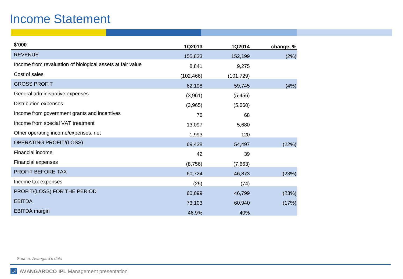### Income Statement

| \$'000                                                     | 1Q2013     | 1Q2014     | change, % |
|------------------------------------------------------------|------------|------------|-----------|
| <b>REVENUE</b>                                             | 155,823    | 152,199    | (2%)      |
| Income from revaluation of biological assets at fair value | 8,841      | 9,275      |           |
| Cost of sales                                              | (102, 466) | (101, 729) |           |
| <b>GROSS PROFIT</b>                                        | 62,198     | 59,745     | (4%)      |
| General administrative expenses                            | (3,961)    | (5, 456)   |           |
| Distribution expenses                                      | (3,965)    | (5,660)    |           |
| Income from government grants and incentives               | 76         | 68         |           |
| Income from special VAT treatment                          | 13,097     | 5,680      |           |
| Other operating income/expenses, net                       | 1,993      | 120        |           |
| <b>OPERATING PROFIT/(LOSS)</b>                             | 69,438     | 54,497     | (22%)     |
| <b>Financial income</b>                                    | 42         | 39         |           |
| Financial expenses                                         | (8,756)    | (7,663)    |           |
| PROFIT BEFORE TAX                                          | 60,724     | 46,873     | (23%)     |
| Income tax expenses                                        | (25)       | (74)       |           |
| PROFIT/(LOSS) FOR THE PERIOD                               | 60,699     | 46,799     | (23%)     |
| <b>EBITDA</b>                                              | 73,103     | 60,940     | (17%)     |
| <b>EBITDA</b> margin                                       | 46.9%      | 40%        |           |

*Source: Avangard's data*